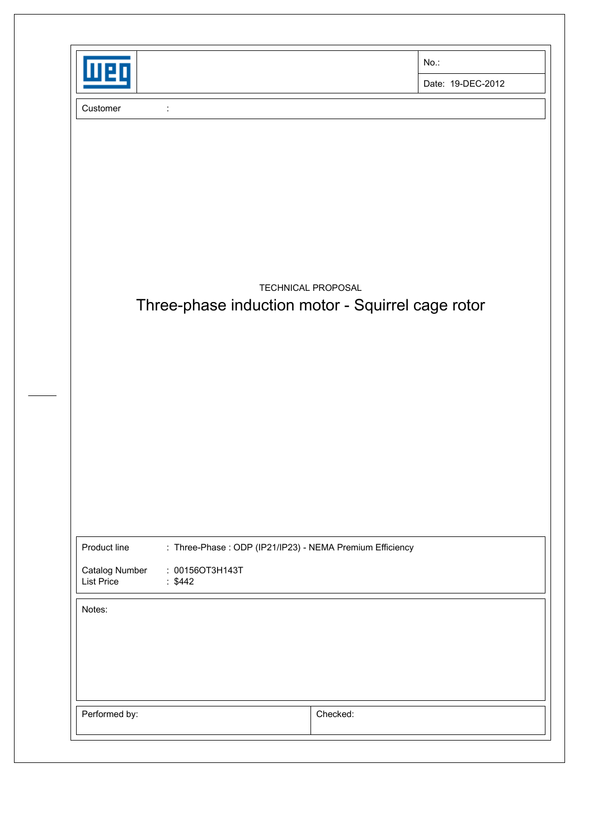| $No.$ :                                                                 |
|-------------------------------------------------------------------------|
| Date: 19-DEC-2012                                                       |
|                                                                         |
|                                                                         |
|                                                                         |
|                                                                         |
|                                                                         |
|                                                                         |
| TECHNICAL PROPOSAL<br>Three-phase induction motor - Squirrel cage rotor |
|                                                                         |
|                                                                         |
|                                                                         |
|                                                                         |
|                                                                         |
|                                                                         |
|                                                                         |
| : Three-Phase : ODP (IP21/IP23) - NEMA Premium Efficiency               |
|                                                                         |
|                                                                         |
|                                                                         |
|                                                                         |
|                                                                         |
|                                                                         |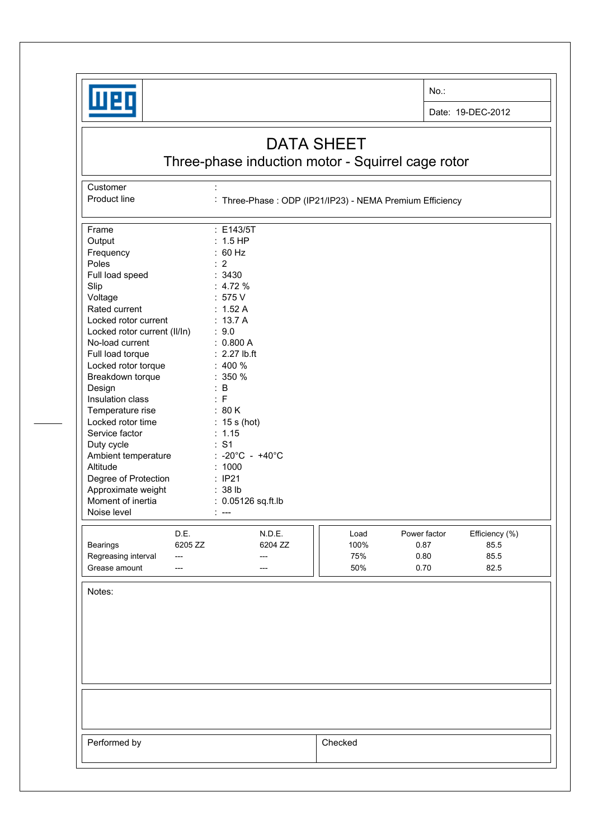

No.:

Date: 19-DEC-2012

## DATA SHEET

Three-phase induction motor - Squirrel cage rotor

Customer : the state of the state of the state of the state of the state of the state of the state of the state of the state of the state of the state of the state of the state of the state of the state of the state of the

Product line : Three-Phase : ODP (IP21/IP23) - NEMA Premium Efficiency

| Frame                                   |         | : E143/5T                   |         |              |                |
|-----------------------------------------|---------|-----------------------------|---------|--------------|----------------|
| Output                                  |         | $: 1.5$ HP                  |         |              |                |
| Frequency                               |         | : 60 Hz                     |         |              |                |
| Poles                                   |         | $\therefore$ 2              |         |              |                |
| Full load speed                         |         | 3430                        |         |              |                |
| Slip                                    |         | : 4.72%                     |         |              |                |
| Voltage                                 |         | : 575 V                     |         |              |                |
| Rated current                           |         | : $1.52A$                   |         |              |                |
| Locked rotor current                    |         | : $13.7A$                   |         |              |                |
| Locked rotor current (II/In)            |         | : 9.0                       |         |              |                |
| No-load current                         |         | : 0.800 A                   |         |              |                |
| Full load torque                        |         | $: 2.27$ lb.ft              |         |              |                |
| Locked rotor torque                     |         | $: 400 \%$                  |         |              |                |
| Breakdown torque                        |         | $: 350 \%$                  |         |              |                |
| Design                                  |         | $\therefore$ B              |         |              |                |
| Insulation class                        |         | : F                         |         |              |                |
| Temperature rise                        |         | : 80 K                      |         |              |                |
| Locked rotor time                       |         |                             |         |              |                |
| Service factor                          |         | $: 15s$ (hot)<br>: 1.15     |         |              |                |
| Duty cycle                              |         | : S1                        |         |              |                |
|                                         |         | : -20°C - +40°C             |         |              |                |
| Ambient temperature<br>Altitude         |         | : 1000                      |         |              |                |
|                                         |         | : IP21                      |         |              |                |
| Degree of Protection                    |         |                             |         |              |                |
| Approximate weight<br>Moment of inertia |         | : 38 lb<br>0.05126 sq.ft.lb |         |              |                |
| Noise level                             |         |                             |         |              |                |
|                                         |         | $---$                       |         |              |                |
|                                         | D.E.    | N.D.E.                      | Load    | Power factor | Efficiency (%) |
| Bearings                                | 6205 ZZ | 6204 ZZ                     | 100%    | 0.87         | 85.5           |
| Regreasing interval                     | $---$   | ---                         | 75%     | 0.80         | 85.5           |
| Grease amount                           | ---     | ---                         | 50%     | 0.70         | 82.5           |
|                                         |         |                             |         |              |                |
| Notes:                                  |         |                             |         |              |                |
|                                         |         |                             |         |              |                |
|                                         |         |                             |         |              |                |
|                                         |         |                             |         |              |                |
|                                         |         |                             |         |              |                |
|                                         |         |                             |         |              |                |
|                                         |         |                             |         |              |                |
|                                         |         |                             |         |              |                |
|                                         |         |                             |         |              |                |
|                                         |         |                             |         |              |                |
|                                         |         |                             |         |              |                |
|                                         |         |                             |         |              |                |
|                                         |         |                             |         |              |                |
| Performed by                            |         |                             | Checked |              |                |
|                                         |         |                             |         |              |                |
|                                         |         |                             |         |              |                |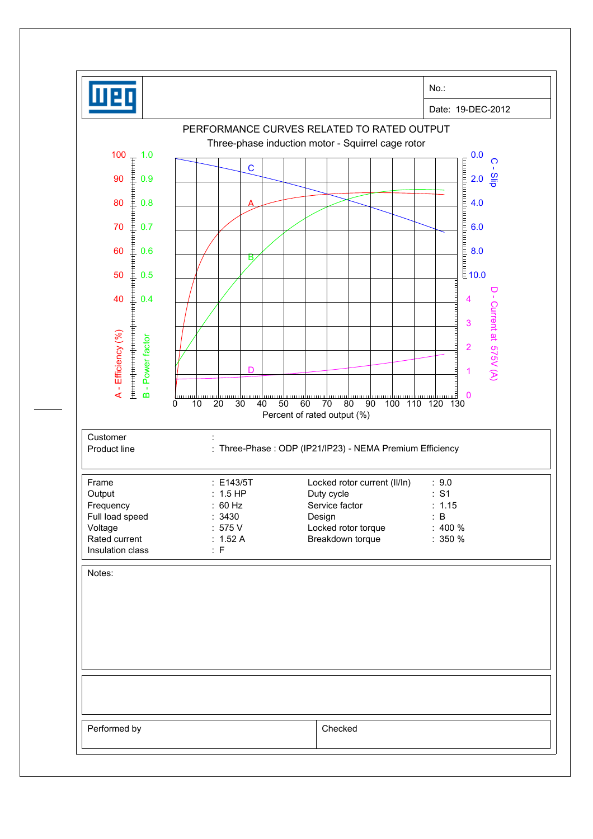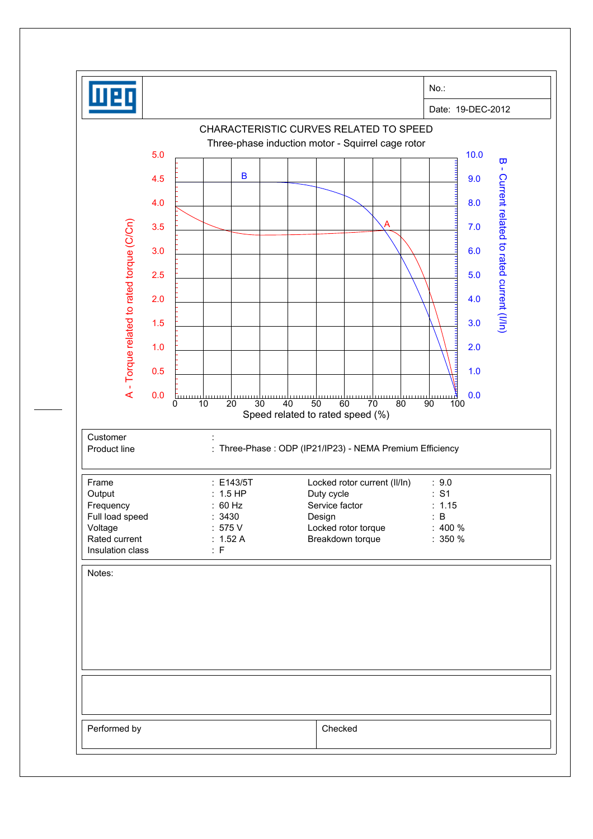| Date: 19-DEC-2012<br>CHARACTERISTIC CURVES RELATED TO SPEED<br>Three-phase induction motor - Squirrel cage rotor<br>5.0<br>10.0<br>$\overline{\mathbf{u}}$<br>$\Gamma$<br>$\mathbf B$<br>Current related to rated current (I/In)<br>4.5<br>9.0<br>8.0<br>4.0<br>A - Torque related to rated torque (C/Cn)<br>3.5<br>7.0<br>6.0<br>3.0<br>5.0<br>2.5<br>2.0<br>4.0<br>1.5<br>3.0<br>1.0<br>2.0<br>0.5<br>1.0<br>0.0<br>0.0<br>111111111<br><u>uuud</u><br>$\overline{20}$<br>30<br>0<br>10<br>40<br>50<br>60<br>80<br>90<br>100<br>70<br>Speed related to rated speed (%)<br>Customer<br>: Three-Phase : ODP (IP21/IP23) - NEMA Premium Efficiency<br>Frame<br>: E143/5T<br>Locked rotor current (II/In)<br>: 9.0<br>$: 1.5$ HP<br>: S1<br>Output<br>Duty cycle<br>: 60 Hz<br>Service factor<br>: 1.15<br>Full load speed<br>: 3430<br>: B<br>Design<br>:575V<br>Locked rotor torque<br>$: 400 \%$<br>Rated current<br>Breakdown torque<br>: $1.52 A$<br>$: 350 \%$<br>: F<br>Notes: |                  |  |  |  |  | No.: |  |
|-------------------------------------------------------------------------------------------------------------------------------------------------------------------------------------------------------------------------------------------------------------------------------------------------------------------------------------------------------------------------------------------------------------------------------------------------------------------------------------------------------------------------------------------------------------------------------------------------------------------------------------------------------------------------------------------------------------------------------------------------------------------------------------------------------------------------------------------------------------------------------------------------------------------------------------------------------------------------------------|------------------|--|--|--|--|------|--|
|                                                                                                                                                                                                                                                                                                                                                                                                                                                                                                                                                                                                                                                                                                                                                                                                                                                                                                                                                                                     |                  |  |  |  |  |      |  |
|                                                                                                                                                                                                                                                                                                                                                                                                                                                                                                                                                                                                                                                                                                                                                                                                                                                                                                                                                                                     |                  |  |  |  |  |      |  |
|                                                                                                                                                                                                                                                                                                                                                                                                                                                                                                                                                                                                                                                                                                                                                                                                                                                                                                                                                                                     |                  |  |  |  |  |      |  |
|                                                                                                                                                                                                                                                                                                                                                                                                                                                                                                                                                                                                                                                                                                                                                                                                                                                                                                                                                                                     |                  |  |  |  |  |      |  |
|                                                                                                                                                                                                                                                                                                                                                                                                                                                                                                                                                                                                                                                                                                                                                                                                                                                                                                                                                                                     |                  |  |  |  |  |      |  |
|                                                                                                                                                                                                                                                                                                                                                                                                                                                                                                                                                                                                                                                                                                                                                                                                                                                                                                                                                                                     |                  |  |  |  |  |      |  |
|                                                                                                                                                                                                                                                                                                                                                                                                                                                                                                                                                                                                                                                                                                                                                                                                                                                                                                                                                                                     |                  |  |  |  |  |      |  |
|                                                                                                                                                                                                                                                                                                                                                                                                                                                                                                                                                                                                                                                                                                                                                                                                                                                                                                                                                                                     |                  |  |  |  |  |      |  |
|                                                                                                                                                                                                                                                                                                                                                                                                                                                                                                                                                                                                                                                                                                                                                                                                                                                                                                                                                                                     |                  |  |  |  |  |      |  |
|                                                                                                                                                                                                                                                                                                                                                                                                                                                                                                                                                                                                                                                                                                                                                                                                                                                                                                                                                                                     |                  |  |  |  |  |      |  |
|                                                                                                                                                                                                                                                                                                                                                                                                                                                                                                                                                                                                                                                                                                                                                                                                                                                                                                                                                                                     |                  |  |  |  |  |      |  |
|                                                                                                                                                                                                                                                                                                                                                                                                                                                                                                                                                                                                                                                                                                                                                                                                                                                                                                                                                                                     |                  |  |  |  |  |      |  |
|                                                                                                                                                                                                                                                                                                                                                                                                                                                                                                                                                                                                                                                                                                                                                                                                                                                                                                                                                                                     |                  |  |  |  |  |      |  |
|                                                                                                                                                                                                                                                                                                                                                                                                                                                                                                                                                                                                                                                                                                                                                                                                                                                                                                                                                                                     |                  |  |  |  |  |      |  |
|                                                                                                                                                                                                                                                                                                                                                                                                                                                                                                                                                                                                                                                                                                                                                                                                                                                                                                                                                                                     |                  |  |  |  |  |      |  |
|                                                                                                                                                                                                                                                                                                                                                                                                                                                                                                                                                                                                                                                                                                                                                                                                                                                                                                                                                                                     |                  |  |  |  |  |      |  |
|                                                                                                                                                                                                                                                                                                                                                                                                                                                                                                                                                                                                                                                                                                                                                                                                                                                                                                                                                                                     |                  |  |  |  |  |      |  |
|                                                                                                                                                                                                                                                                                                                                                                                                                                                                                                                                                                                                                                                                                                                                                                                                                                                                                                                                                                                     | Product line     |  |  |  |  |      |  |
|                                                                                                                                                                                                                                                                                                                                                                                                                                                                                                                                                                                                                                                                                                                                                                                                                                                                                                                                                                                     |                  |  |  |  |  |      |  |
|                                                                                                                                                                                                                                                                                                                                                                                                                                                                                                                                                                                                                                                                                                                                                                                                                                                                                                                                                                                     |                  |  |  |  |  |      |  |
|                                                                                                                                                                                                                                                                                                                                                                                                                                                                                                                                                                                                                                                                                                                                                                                                                                                                                                                                                                                     | Frequency        |  |  |  |  |      |  |
|                                                                                                                                                                                                                                                                                                                                                                                                                                                                                                                                                                                                                                                                                                                                                                                                                                                                                                                                                                                     | Voltage          |  |  |  |  |      |  |
|                                                                                                                                                                                                                                                                                                                                                                                                                                                                                                                                                                                                                                                                                                                                                                                                                                                                                                                                                                                     | Insulation class |  |  |  |  |      |  |
|                                                                                                                                                                                                                                                                                                                                                                                                                                                                                                                                                                                                                                                                                                                                                                                                                                                                                                                                                                                     |                  |  |  |  |  |      |  |
|                                                                                                                                                                                                                                                                                                                                                                                                                                                                                                                                                                                                                                                                                                                                                                                                                                                                                                                                                                                     |                  |  |  |  |  |      |  |
|                                                                                                                                                                                                                                                                                                                                                                                                                                                                                                                                                                                                                                                                                                                                                                                                                                                                                                                                                                                     |                  |  |  |  |  |      |  |
|                                                                                                                                                                                                                                                                                                                                                                                                                                                                                                                                                                                                                                                                                                                                                                                                                                                                                                                                                                                     |                  |  |  |  |  |      |  |
|                                                                                                                                                                                                                                                                                                                                                                                                                                                                                                                                                                                                                                                                                                                                                                                                                                                                                                                                                                                     |                  |  |  |  |  |      |  |
|                                                                                                                                                                                                                                                                                                                                                                                                                                                                                                                                                                                                                                                                                                                                                                                                                                                                                                                                                                                     |                  |  |  |  |  |      |  |
|                                                                                                                                                                                                                                                                                                                                                                                                                                                                                                                                                                                                                                                                                                                                                                                                                                                                                                                                                                                     |                  |  |  |  |  |      |  |
|                                                                                                                                                                                                                                                                                                                                                                                                                                                                                                                                                                                                                                                                                                                                                                                                                                                                                                                                                                                     |                  |  |  |  |  |      |  |
| Checked                                                                                                                                                                                                                                                                                                                                                                                                                                                                                                                                                                                                                                                                                                                                                                                                                                                                                                                                                                             | Performed by     |  |  |  |  |      |  |